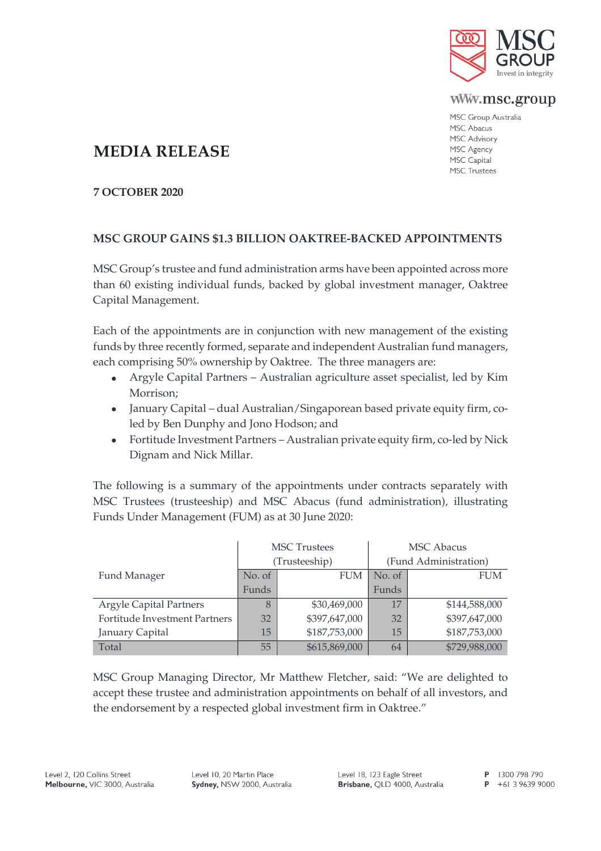

www.msc.group

MSC Group Australia MSC Abacus MSC Advisory MSC Agency MSC Capital **MSC Trustees** 

## **MEDIA RELEASE**

**7 OCTOBER 2020**

## **MSC GROUP GAINS \$1.3 BILLION OAKTREE-BACKED APPOINTMENTS**

MSC Group's trustee and fund administration arms have been appointed across more than 60 existing individual funds, backed by global investment manager, Oaktree Capital Management.

Each of the appointments are in conjunction with new management of the existing funds by three recently formed, separate and independent Australian fund managers, each comprising 50% ownership by Oaktree. The three managers are:

- Argyle Capital Partners Australian agriculture asset specialist, led by Kim Morrison;
- January Capital dual Australian/Singaporean based private equity firm, coled by Ben Dunphy and Jono Hodson; and
- Fortitude Investment Partners Australian private equity firm, co-led by Nick Dignam and Nick Millar.

The following is a summary of the appointments under contracts separately with MSC Trustees (trusteeship) and MSC Abacus (fund administration), illustrating Funds Under Management (FUM) as at 30 June 2020:

|                                | <b>MSC</b> Trustees |               | <b>MSC</b> Abacus     |               |
|--------------------------------|---------------------|---------------|-----------------------|---------------|
|                                | (Trusteeship)       |               | (Fund Administration) |               |
| Fund Manager                   | No. of              | <b>FUM</b>    | No. of                | <b>FUM</b>    |
|                                | Funds               |               | Funds                 |               |
| <b>Argyle Capital Partners</b> | 8                   | \$30,469,000  | 17                    | \$144,588,000 |
| Fortitude Investment Partners  | 32                  | \$397,647,000 | 32                    | \$397,647,000 |
| January Capital                | 15                  | \$187,753,000 | 15                    | \$187,753,000 |
| Total                          | 55                  | \$615,869,000 | 64                    | \$729,988,000 |

MSC Group Managing Director, Mr Matthew Fletcher, said: "We are delighted to accept these trustee and administration appointments on behalf of all investors, and the endorsement by a respected global investment firm in Oaktree."

Level 10, 20 Martin Place Sydney, NSW 2000, Australia